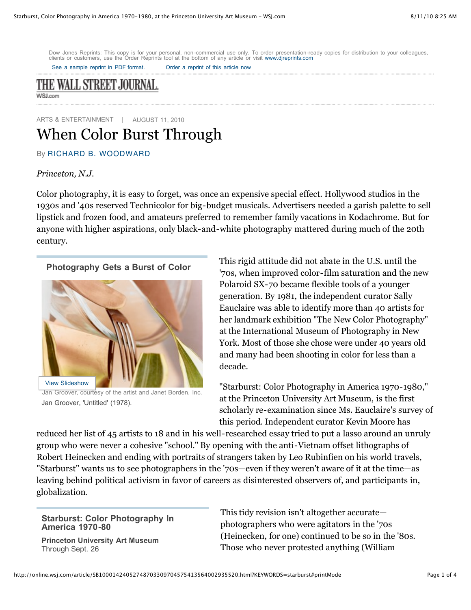Dow Jones Reprints: This copy is for your personal, non-commercial use only. To order presentation-ready copies for distribution to your colleagues, clients or customers, use the Order Reprints tool at the bottom of any article or visit [www.djreprints.com](http://www.djreprints.com/)

See a sample reprint in [PDF format.](http://online.wsj.com/public/resources/documents/Reprint_Samples.pdf) Order a [reprint](javascript:CopyrightPopUp();) of this article now



ARTS & ENTERTAINMENT | AUGUST 11, 2010

## When Color Burst Through

By RICHARD B. [WOODWARD](http://online.wsj.com/search/term.html?KEYWORDS=RICHARD+B.+WOODWARD&bylinesearch=true)

## *Princeton, N.J.*

Color photography, it is easy to forget, was once an expensive special effect. Hollywood studios in the 1930s and '40s reserved Technicolor for big-budget musicals. Advertisers needed a garish palette to sell lipstick and frozen food, and amateurs preferred to remember family vacations in Kodachrome. But for anyone with higher aspirations, only black-and-white photography mattered during much of the 20th century.

## **Photography Gets a Burst of Color**



Jan Groover, courtesy of the artist and Janet Borden, Inc. Jan Groover, 'Untitled' (1978).

This rigid attitude did not abate in the U.S. until the '70s, when improved color-film saturation and the new Polaroid SX-70 became flexible tools of a younger generation. By 1981, the independent curator Sally Eauclaire was able to identify more than 40 artists for her landmark exhibition "The New Color Photography" at the International Museum of Photography in New York. Most of those she chose were under 40 years old and many had been shooting in color for less than a decade.

"Starburst: Color Photography in America 1970-1980," at the Princeton University Art Museum, is the first scholarly re-examination since Ms. Eauclaire's survey of this period. Independent curator Kevin Moore has

reduced her list of 45 artists to 18 and in his well-researched essay tried to put a lasso around an unruly group who were never a cohesive "school." By opening with the anti-Vietnam offset lithographs of Robert Heinecken and ending with portraits of strangers taken by Leo Rubinfien on his world travels, "Starburst" wants us to see photographers in the '70s—even if they weren't aware of it at the time—as leaving behind political activism in favor of careers as disinterested observers of, and participants in, globalization.

## **Starburst: Color Photography In America 1970-80**

**Princeton University Art Museum** Through Sept. 26

This tidy revision isn't altogether accurate photographers who were agitators in the '70s (Heinecken, for one) continued to be so in the '80s. Those who never protested anything (William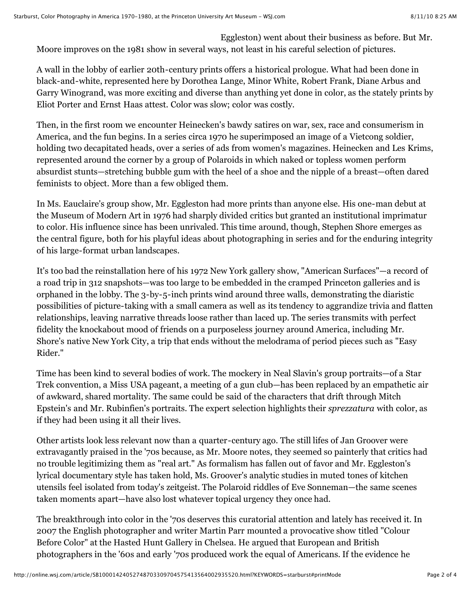Eggleston) went about their business as before. But Mr. Moore improves on the 1981 show in several ways, not least in his careful selection of pictures.

A wall in the lobby of earlier 20th-century prints offers a historical prologue. What had been done in black-and-white, represented here by Dorothea Lange, Minor White, Robert Frank, Diane Arbus and Garry Winogrand, was more exciting and diverse than anything yet done in color, as the stately prints by Eliot Porter and Ernst Haas attest. Color was slow; color was costly.

Then, in the first room we encounter Heinecken's bawdy satires on war, sex, race and consumerism in America, and the fun begins. In a series circa 1970 he superimposed an image of a Vietcong soldier, holding two decapitated heads, over a series of ads from women's magazines. Heinecken and Les Krims, represented around the corner by a group of Polaroids in which naked or topless women perform absurdist stunts—stretching bubble gum with the heel of a shoe and the nipple of a breast—often dared feminists to object. More than a few obliged them.

In Ms. Eauclaire's group show, Mr. Eggleston had more prints than anyone else. His one-man debut at the Museum of Modern Art in 1976 had sharply divided critics but granted an institutional imprimatur to color. His influence since has been unrivaled. This time around, though, Stephen Shore emerges as the central figure, both for his playful ideas about photographing in series and for the enduring integrity of his large-format urban landscapes.

It's too bad the reinstallation here of his 1972 New York gallery show, "American Surfaces"—a record of a road trip in 312 snapshots—was too large to be embedded in the cramped Princeton galleries and is orphaned in the lobby. The 3-by-5-inch prints wind around three walls, demonstrating the diaristic possibilities of picture-taking with a small camera as well as its tendency to aggrandize trivia and flatten relationships, leaving narrative threads loose rather than laced up. The series transmits with perfect fidelity the knockabout mood of friends on a purposeless journey around America, including Mr. Shore's native New York City, a trip that ends without the melodrama of period pieces such as "Easy Rider."

Time has been kind to several bodies of work. The mockery in Neal Slavin's group portraits—of a Star Trek convention, a Miss USA pageant, a meeting of a gun club—has been replaced by an empathetic air of awkward, shared mortality. The same could be said of the characters that drift through Mitch Epstein's and Mr. Rubinfien's portraits. The expert selection highlights their *sprezzatura* with color, as if they had been using it all their lives.

Other artists look less relevant now than a quarter-century ago. The still lifes of Jan Groover were extravagantly praised in the '70s because, as Mr. Moore notes, they seemed so painterly that critics had no trouble legitimizing them as "real art." As formalism has fallen out of favor and Mr. Eggleston's lyrical documentary style has taken hold, Ms. Groover's analytic studies in muted tones of kitchen utensils feel isolated from today's zeitgeist. The Polaroid riddles of Eve Sonneman—the same scenes taken moments apart—have also lost whatever topical urgency they once had.

The breakthrough into color in the '70s deserves this curatorial attention and lately has received it. In 2007 the English photographer and writer Martin Parr mounted a provocative show titled "Colour Before Color" at the Hasted Hunt Gallery in Chelsea. He argued that European and British photographers in the '60s and early '70s produced work the equal of Americans. If the evidence he